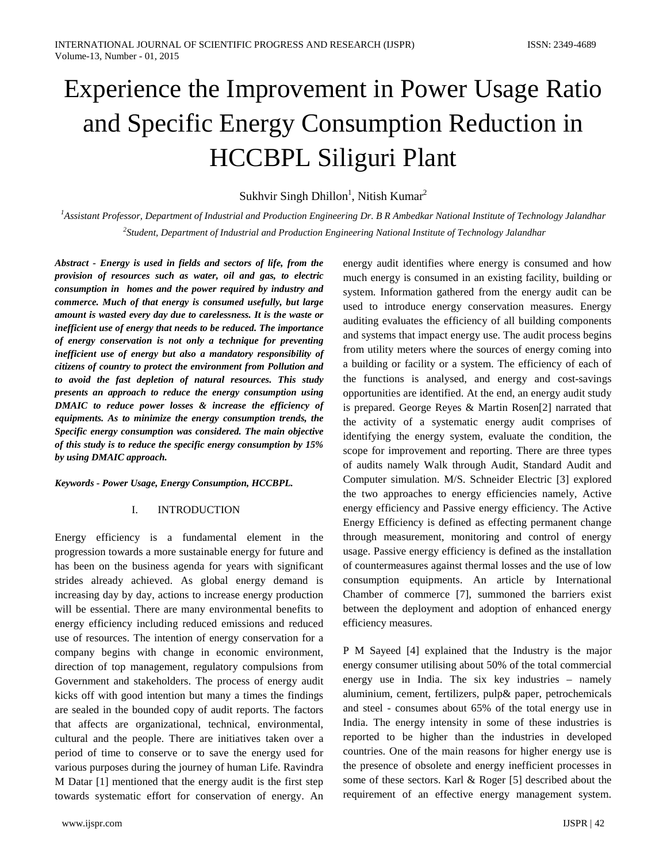# Experience the Improvement in Power Usage Ratio and Specific Energy Consumption Reduction in HCCBPL Siliguri Plant

# Sukhvir Singh Dhillon<sup>1</sup>, Nitish Kumar<sup>2</sup>

*1 Assistant Professor, Department of Industrial and Production Engineering Dr. B R Ambedkar National Institute of Technology Jalandhar 2 Student, Department of Industrial and Production Engineering National Institute of Technology Jalandhar*

*Abstract - Energy is used in fields and sectors of life, from the provision of resources such as water, oil and gas, to electric consumption in homes and the power required by industry and commerce. Much of that energy is consumed usefully, but large amount is wasted every day due to carelessness. It is the waste or inefficient use of energy that needs to be reduced. The importance of energy conservation is not only a technique for preventing inefficient use of energy but also a mandatory responsibility of citizens of country to protect the environment from Pollution and to avoid the fast depletion of natural resources. This study presents an approach to reduce the energy consumption using DMAIC to reduce power losses & increase the efficiency of equipments. As to minimize the energy consumption trends, the Specific energy consumption was considered. The main objective of this study is to reduce the specific energy consumption by 15% by using DMAIC approach.*

#### *Keywords - Power Usage, Energy Consumption, HCCBPL.*

## I. INTRODUCTION

Energy efficiency is a fundamental element in the progression towards a more sustainable energy for future and has been on the business agenda for years with significant strides already achieved. As global energy demand is increasing day by day, actions to increase energy production will be essential. There are many environmental benefits to energy efficiency including reduced emissions and reduced use of resources. The intention of energy conservation for a company begins with change in economic environment, direction of top management, regulatory compulsions from Government and stakeholders. The process of energy audit kicks off with good intention but many a times the findings are sealed in the bounded copy of audit reports. The factors that affects are organizational, technical, environmental, cultural and the people. There are initiatives taken over a period of time to conserve or to save the energy used for various purposes during the journey of human Life. Ravindra M Datar [1] mentioned that the energy audit is the first step towards systematic effort for conservation of energy. An

energy audit identifies where energy is consumed and how much energy is consumed in an existing facility, building or system. Information gathered from the energy audit can be used to introduce energy conservation measures. Energy auditing evaluates the efficiency of all building components and systems that impact energy use. The audit process begins from utility meters where the sources of energy coming into a building or facility or a system. The efficiency of each of the functions is analysed, and energy and cost-savings opportunities are identified. At the end, an energy audit study is prepared. George Reyes & Martin Rosen[2] narrated that the activity of a systematic energy audit comprises of identifying the energy system, evaluate the condition, the scope for improvement and reporting. There are three types of audits namely Walk through Audit, Standard Audit and Computer simulation. M/S. Schneider Electric [3] explored the two approaches to energy efficiencies namely, Active energy efficiency and Passive energy efficiency. The Active Energy Efficiency is defined as effecting permanent change through measurement, monitoring and control of energy usage. Passive energy efficiency is defined as the installation of countermeasures against thermal losses and the use of low consumption equipments. An article by International Chamber of commerce [7], summoned the barriers exist between the deployment and adoption of enhanced energy efficiency measures.

P M Sayeed [4] explained that the Industry is the major energy consumer utilising about 50% of the total commercial energy use in India. The six key industries – namely aluminium, cement, fertilizers, pulp& paper, petrochemicals and steel - consumes about 65% of the total energy use in India. The energy intensity in some of these industries is reported to be higher than the industries in developed countries. One of the main reasons for higher energy use is the presence of obsolete and energy inefficient processes in some of these sectors. Karl & Roger [5] described about the requirement of an effective energy management system.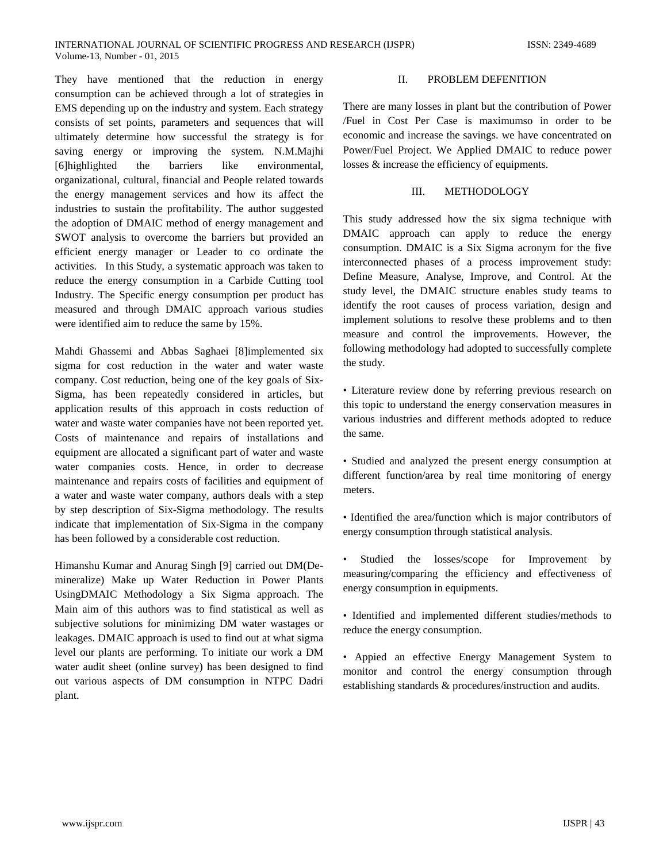They have mentioned that the reduction in energy consumption can be achieved through a lot of strategies in EMS depending up on the industry and system. Each strategy consists of set points, parameters and sequences that will ultimately determine how successful the strategy is for saving energy or improving the system. N.M.Majhi [6]highlighted the barriers like environmental, organizational, cultural, financial and People related towards the energy management services and how its affect the industries to sustain the profitability. The author suggested the adoption of DMAIC method of energy management and SWOT analysis to overcome the barriers but provided an efficient energy manager or Leader to co ordinate the activities. In this Study, a systematic approach was taken to reduce the energy consumption in a Carbide Cutting tool Industry. The Specific energy consumption per product has measured and through DMAIC approach various studies were identified aim to reduce the same by 15%.

Mahdi Ghassemi and Abbas Saghaei [8]implemented six sigma for cost reduction in the water and water waste company. Cost reduction, being one of the key goals of Six-Sigma, has been repeatedly considered in articles, but application results of this approach in costs reduction of water and waste water companies have not been reported yet. Costs of maintenance and repairs of installations and equipment are allocated a significant part of water and waste water companies costs. Hence, in order to decrease maintenance and repairs costs of facilities and equipment of a water and waste water company, authors deals with a step by step description of Six-Sigma methodology. The results indicate that implementation of Six-Sigma in the company has been followed by a considerable cost reduction.

Himanshu Kumar and Anurag Singh [9] carried out DM(Demineralize) Make up Water Reduction in Power Plants UsingDMAIC Methodology a Six Sigma approach. The Main aim of this authors was to find statistical as well as subjective solutions for minimizing DM water wastages or leakages. DMAIC approach is used to find out at what sigma level our plants are performing. To initiate our work a DM water audit sheet (online survey) has been designed to find out various aspects of DM consumption in NTPC Dadri plant.

## II. PROBLEM DEFENITION

There are many losses in plant but the contribution of Power /Fuel in Cost Per Case is maximumso in order to be economic and increase the savings. we have concentrated on Power/Fuel Project. We Applied DMAIC to reduce power losses & increase the efficiency of equipments.

## III. METHODOLOGY

This study addressed how the six sigma technique with DMAIC approach can apply to reduce the energy consumption. DMAIC is a Six Sigma acronym for the five interconnected phases of a process improvement study: Define Measure, Analyse, Improve, and Control. At the study level, the DMAIC structure enables study teams to identify the root causes of process variation, design and implement solutions to resolve these problems and to then measure and control the improvements. However, the following methodology had adopted to successfully complete the study.

• Literature review done by referring previous research on this topic to understand the energy conservation measures in various industries and different methods adopted to reduce the same.

• Studied and analyzed the present energy consumption at different function/area by real time monitoring of energy meters.

• Identified the area/function which is major contributors of energy consumption through statistical analysis.

Studied the losses/scope for Improvement by measuring/comparing the efficiency and effectiveness of energy consumption in equipments.

• Identified and implemented different studies/methods to reduce the energy consumption.

• Appied an effective Energy Management System to monitor and control the energy consumption through establishing standards & procedures/instruction and audits.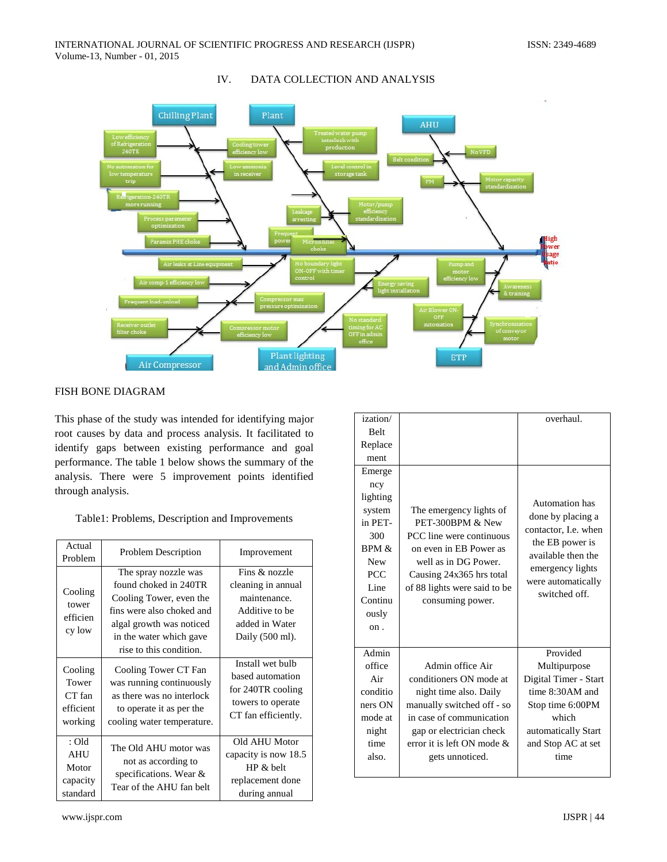

# IV. DATA COLLECTION AND ANALYSIS

# FISH BONE DIAGRAM

This phase of the study was intended for identifying major root causes by data and process analysis. It facilitated to identify gaps between existing performance and goal performance. The table 1 below shows the summary of the analysis. There were 5 improvement points identified through analysis.

## Table1: Problems, Description and Improvements

| Actual<br>Problem                                      | <b>Problem Description</b>                                                                                                                                                              | Improvement                                                                                                |
|--------------------------------------------------------|-----------------------------------------------------------------------------------------------------------------------------------------------------------------------------------------|------------------------------------------------------------------------------------------------------------|
| Cooling<br>tower<br>efficien<br>cy low                 | The spray nozzle was<br>found choked in 240TR<br>Cooling Tower, even the<br>fins were also choked and<br>algal growth was noticed<br>in the water which gave<br>rise to this condition. | Fins & nozzle<br>cleaning in annual<br>maintenance.<br>Additive to be<br>added in Water<br>Daily (500 ml). |
| Cooling<br>Tower<br>CT fan<br>efficient<br>working     | Cooling Tower CT Fan<br>was running continuously<br>as there was no interlock<br>to operate it as per the<br>cooling water temperature.                                                 | Install wet bulb<br>based automation<br>for 240TR cooling<br>towers to operate<br>CT fan efficiently.      |
| $:$ Old<br><b>AHU</b><br>Motor<br>capacity<br>standard | The Old AHU motor was<br>not as according to<br>specifications. Wear &<br>Tear of the AHU fan belt                                                                                      | Old AHU Motor<br>capacity is now 18.5<br>HP & belt<br>replacement done<br>during annual                    |

| ization/    |                               | overhaul.             |
|-------------|-------------------------------|-----------------------|
| <b>Belt</b> |                               |                       |
| Replace     |                               |                       |
| ment        |                               |                       |
| Emerge      |                               |                       |
| ncy         |                               |                       |
| lighting    |                               | Automation has        |
| system      | The emergency lights of       | done by placing a     |
| in PET-     | PET-300BPM & New              | contactor, I.e. when  |
| 300         | PCC line were continuous      | the EB power is       |
| $BPM \&$    | on even in EB Power as        | available then the    |
| <b>New</b>  | well as in DG Power.          | emergency lights      |
| <b>PCC</b>  | Causing 24x365 hrs total      | were automatically    |
| Line        | of 88 lights were said to be  | switched off.         |
| Continu     | consuming power.              |                       |
| ously       |                               |                       |
| on.         |                               |                       |
|             |                               |                       |
| Admin       |                               | Provided              |
| office      | Admin office Air              | Multipurpose          |
| Air         | conditioners ON mode at       | Digital Timer - Start |
| conditio    | night time also. Daily        | time 8:30AM and       |
| ners ON     | manually switched off - so    | Stop time 6:00PM      |
| mode at     | in case of communication      | which                 |
| night       | gap or electrician check      | automatically Start   |
| time        | error it is left ON mode $\&$ | and Stop AC at set    |
| also.       | gets unnoticed.               | time                  |
|             |                               |                       |